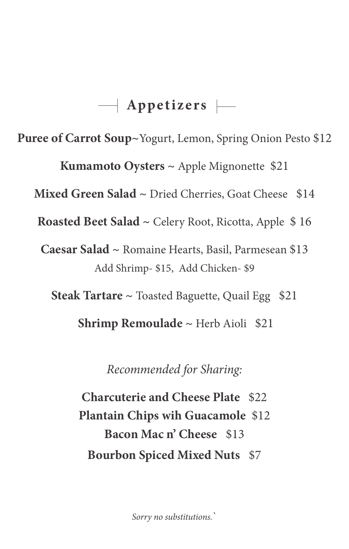### $\rightarrow$  Appetizers  $\rightarrow$

**Puree of Carrot Soup~**Yogurt, Lemon, Spring Onion Pesto \$12

**Kumamoto Oysters ~** Apple Mignonette \$21

Mixed Green Salad ~ Dried Cherries, Goat Cheese \$14

**Roasted Beet Salad ~** Celery Root, Ricotta, Apple \$ 16

**Caesar Salad ~** Romaine Hearts, Basil, Parmesean \$13 Add Shrimp- \$15, Add Chicken- \$9

**Steak Tartare ~** Toasted Baguette, Quail Egg \$21

 **Shrimp Remoulade ~** Herb Aioli \$21

*Recommended for Sharing:* 

**Charcuterie and Cheese Plate** \$22 **Plantain Chips wih Guacamole** \$12 **Bacon Mac n' Cheese** \$13 **Bourbon Spiced Mixed Nuts** \$7

*Sorry no substitutions.*`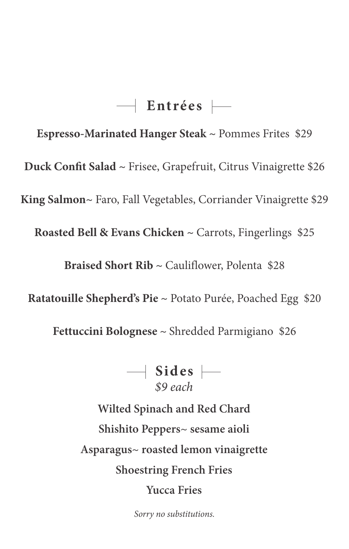# **Entrées**

**Espresso-Marinated Hanger Steak ~** Pommes Frites \$29

**Duck Confit Salad ~** Frisee, Grapefruit, Citrus Vinaigrette \$26

**King Salmon~** Faro, Fall Vegetables, Corriander Vinaigrette \$29

**Roasted Bell & Evans Chicken ~** Carrots, Fingerlings \$25

**Braised Short Rib ~** Cauliflower, Polenta \$28

**Ratatouille Shepherd's Pie ~** Potato Purée, Poached Egg \$20

**Fettuccini Bolognese ~** Shredded Parmigiano \$26

*\$9 each*  $\rightarrow$  Sides  $\rightarrow$ 

**Wilted Spinach and Red Chard Shishito Peppers~ sesame aioli Asparagus~ roasted lemon vinaigrette Shoestring French Fries Yucca Fries**

*Sorry no substitutions.*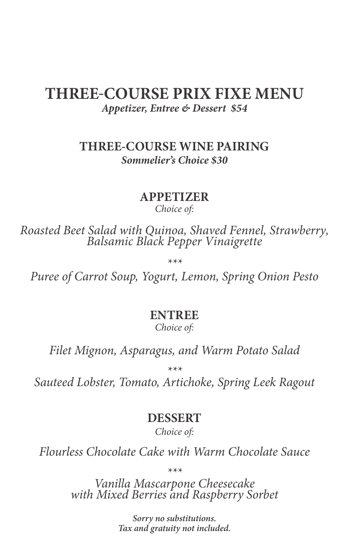# **THREE**-**COURSE PRIX FIXE MENU**

*Appetizer, Entree & Dessert \$54*

#### **THREE-COURSE WINE PAIRING** *Sommelier's Choice \$30*

#### **APPETIZER**

*Choice of:*

*Roasted Beet Salad with Quinoa, Shaved Fennel, Strawberry, Balsamic Black Pepper Vinaigrette*

*\*\*\**

*Puree of Carrot Soup, Yogurt, Lemon, Spring Onion Pesto* 

#### **ENTREE**

*Choice of:*

*Filet Mignon, Asparagus, and Warm Potato Salad*

*\*\*\**

*Sauteed Lobster, Tomato, Artichoke, Spring Leek Ragout*

#### **DESSERT**

*Choice of:*

*Flourless Chocolate Cake with Warm Chocolate Sauce*

*\*\*\**

*Vanilla Mascarpone Cheesecake with Mixed Berries and Raspberry Sorbet*

*Sorry no substitutions. Tax and gratuity not included.*